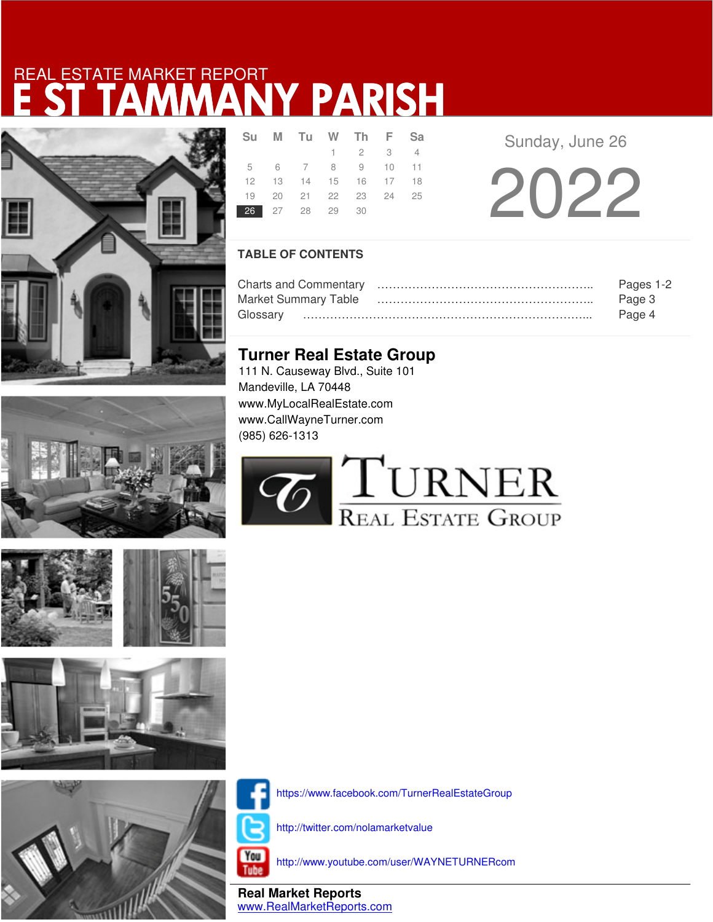# E ST TAMMANY PARISH REAL ESTATE MARKET REPORT









|  |  | 26 27 28 29 30 | Su M Tu W Th F Sa<br>$1 \quad 2 \quad 3 \quad 4$<br>5 6 7 8 9 10 11<br>12  13  14  15  16  17  18<br>19 20 21 22 23 24 25 |
|--|--|----------------|---------------------------------------------------------------------------------------------------------------------------|

Sunday, June 26

2022

## **TABLE OF CONTENTS**

|                             | Pages 1-2 |
|-----------------------------|-----------|
| <b>Market Summary Table</b> | Page 3    |
|                             | Page 4    |

## **Turner Real Estate Group**

111 N. Causeway Blvd., Suite 101 Mandeville, LA 70448 www.MyLocalRealEstate.com www.CallWayneTurner.com (985) 626-1313





https://www.facebook.com/TurnerRealEstateGroup

http://twitter.com/nolamarketvalue

You Tube

http://www.youtube.com/user/WAYNETURNERcom

**Real Market Reports** www.RealMarketReports.com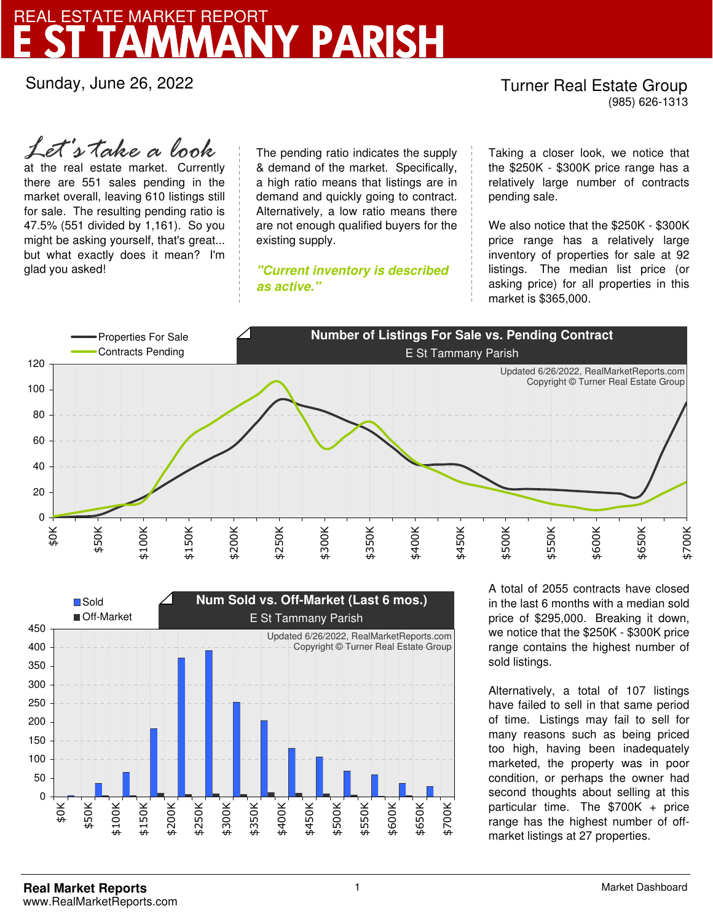# NY PARISH REAL ESTATE MARKET REPORT

Sunday, June 26, 2022

### Turner Real Estate Group (985) 626-1313

at the real estate market. Currently there are 551 sales pending in the market overall, leaving 610 listings still for sale. The resulting pending ratio is 47.5% (551 divided by 1,161). So you might be asking yourself, that's great... but what exactly does it mean? I'm glad you asked! *Let's take a look*

The pending ratio indicates the supply & demand of the market. Specifically, a high ratio means that listings are in demand and quickly going to contract. Alternatively, a low ratio means there are not enough qualified buyers for the existing supply.

**"Current inventory is described as active."**

Taking a closer look, we notice that the \$250K - \$300K price range has a relatively large number of contracts pending sale.

We also notice that the \$250K - \$300K price range has a relatively large inventory of properties for sale at 92 listings. The median list price (or asking price) for all properties in this market is \$365,000.





A total of 2055 contracts have closed in the last 6 months with a median sold price of \$295,000. Breaking it down, we notice that the \$250K - \$300K price range contains the highest number of sold listings.

Alternatively, a total of 107 listings have failed to sell in that same period of time. Listings may fail to sell for many reasons such as being priced too high, having been inadequately marketed, the property was in poor condition, or perhaps the owner had second thoughts about selling at this particular time. The \$700K + price range has the highest number of offmarket listings at 27 properties.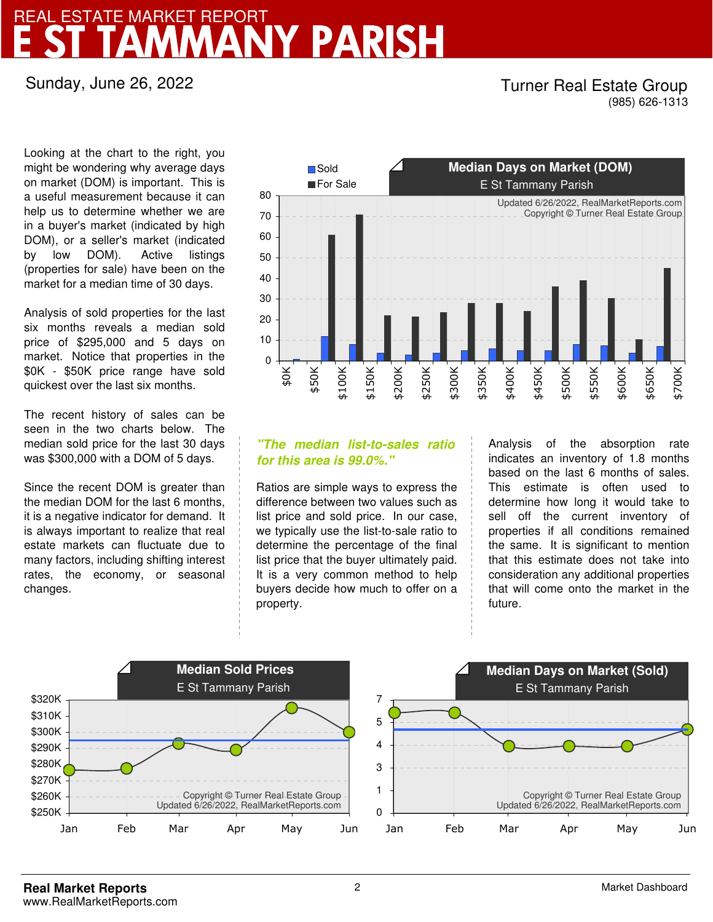## NY PARISI REAL ESTATE MARKET REPORT

Sunday, June 26, 2022

### Turner Real Estate Group (985) 626-1313

Looking at the chart to the right, you might be wondering why average days on market (DOM) is important. This is a useful measurement because it can help us to determine whether we are in a buyer's market (indicated by high DOM), or a seller's market (indicated by low DOM). Active listings (properties for sale) have been on the market for a median time of 30 days.

Analysis of sold properties for the last six months reveals a median sold price of \$295,000 and 5 days on market. Notice that properties in the \$0K - \$50K price range have sold quickest over the last six months.

The recent history of sales can be seen in the two charts below. The median sold price for the last 30 days was \$300,000 with a DOM of 5 days.

Since the recent DOM is greater than the median DOM for the last 6 months, it is a negative indicator for demand. It is always important to realize that real estate markets can fluctuate due to many factors, including shifting interest rates, the economy, or seasonal changes.



## **"The median list-to-sales ratio for this area is 99.0%."**

Ratios are simple ways to express the difference between two values such as list price and sold price. In our case, we typically use the list-to-sale ratio to determine the percentage of the final list price that the buyer ultimately paid. It is a very common method to help buyers decide how much to offer on a property.

Analysis of the absorption rate indicates an inventory of 1.8 months based on the last 6 months of sales. This estimate is often used to determine how long it would take to sell off the current inventory of properties if all conditions remained the same. It is significant to mention that this estimate does not take into consideration any additional properties that will come onto the market in the future.

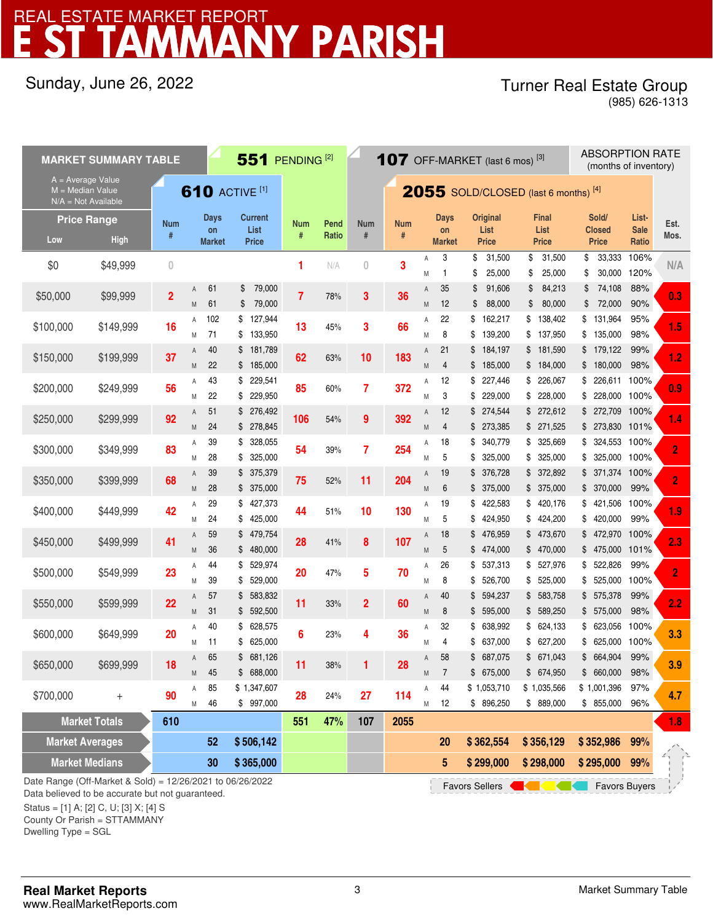# **MANY PARISH** REAL ESTATE MARKET REPORT

## Sunday, June 26, 2022

### Turner Real Estate Group (985) 626-1313

A M A A 61 79,000 \$ M 61 S 79,000 M M M M A A M M 71 133,950 \$ A 40 \$ 181,789 (a) a contract a series of  $\overline{A}$ M 22 \$ 185,000 **COMPUTER 189 AM** A 43 \$ 229,541 **example 20 area** A M 22 \$ 229,950 **85** 60% **7 372** M A 51 \$ 276,492 ... I ... A M M 24 278,845 \$ A 39 \$ 328,055 **for the second and a second assessment and a second a second and a second a second a second a second a second a second a second a second a second a second a second a second a second a second a second a seco** M 28 \$ 325.000 **C**  $\frac{1}{2}$  3. **M** 28 \$ 325.000 A 39 \$ 375,379 <br>  $75$  52% 11 204 <sup>A</sup> M 28 \$ 375,000 A 29 \$ 427,373<br>44 51% 10 130 A M 24 \$ 425,000 TV CHA 10 100 M  $4 \quad 59$  \$ 479,754 28 41% 8 107  $^{16}$ M 36 \$480,000 **20** 1.7 **0** 10 M A 44 \$ 529,974 20 47% 5 70 A M M  $4 \quad 57 \quad $583,832$  11 33% 2 60 <sup>A</sup>  $M = 31$  \$ 592.500 A 40 \$ 628,575 6 23% 4 36 A M 11 \$625,000 CONST  $\frac{1}{4}$  A 65 \$ 681,126<br>  $\frac{1}{4}$  a second 11 38% 1 28 A M 45 \$688,000 **11** 55% **1** EV M A 85 \$1,347,607 and a compact of the A  $M = 46$  \$ 997,000 Date Range (Off-Market & Sold) = 12/26/2021 to 06/26/2022  **1.8 254 9** 52% **11** \$250,000 \$299,999 **92** \$300,000 \$349,999 **83** \$ 375,379 \$350,000 \$399,999 **<sup>68</sup>** 39 **75** 19 \$ 376,728 \$ 340,779 **7** \$ 372,892 18 \$ 227,446 \$ 272,612 \$ 271,525 5 325,000 \$ 325,000 \$ \$ 226,611 100% 100% \$ 325,669 101% 100% **372** 12 99% \$185,000 \$184,000 3 229,000 \$ \$ 226,067 4 \$ 228,000 \$ 228,000 100% \$ 137,950 \$ 135,000 21 \$ 184,197 \$ 181,590 \$ 179,122 61 \$ 79,000 **61** 12 **66** 22 **3 36** \$ 127,944 88% \$ 88,000 \$ 80,000 \$ 72,000 90% 35 \$ 91,606 \$ 84,213 \$ 74,108 \$ 33,333 31,500 \$ 106%  $\frac{3}{1}$  1 \$ 25,000 \$ 25,000 \$ 30,000 3 31,500 \$ 1  $N/A$  0 3  $M$  1 \$ 25,000 **MARKET SUMMARY TABLE 551** PENDING <sup>[2]</sup> \$0 \$49,999 **0 Pend Ratio Num # Num # Num #**  $2055$  SOLD/CLOSED (last 6 months) [4] **Days on Market Original List Price Final List Price Sold/ Closed Price 107** OFF-MARKET (last 6 mos)  $^{[3]}$  ABSORPTION RATE (months of inventory) **Days on Market Current List Price** A = Average Value M = Median Value N/A = Not Available **610 ACTIVE [1] List-Sale Ratio Est.** Low High <sup>#</sup> Market Price <sup>#</sup> Ratio <sup>#</sup> <sup>#</sup> Market Price Price Price Ratio Mos. **Price Range Num #** 120% \$50,000 \$99,999 **2 7** 78% \$100,000 \$149,999 **16** 102 **13** 45% **3** 98% \$ 162,217 8 139,200 \$ \$ 138,402 \$ 131,964 95% \$150,000 \$199,999 **37** 40 22 \$200,000 \$249,999 **56** 43 **183 M** 4 \$ 185,000 \$ 184,000 \$ 180,000 98% **85** 60% **62** 63% **10 392** 51 \$ 276,492 ... 4 \$ 273,385 54% \$ 273,830 **54 106** 28 \$ 325,000 **6 100% \$ 325,000 \$ 325,000 \$ 325,000 \$ 325,000 \$ 325,000 \$ 325,000 \$ 325,000 \$ 325,000 \$ 325,000** 39% \$ 324,553 \$ 371,374 100% 28 \$ 375,000 **6 199% 11 122 M** 6 \$ 375,000 \$ 375,000 \$ 370,000 \$ 99% **204** \$400,000 \$449,999 **42** 29 \$ 427,373 19 422,583 \$ 420,176 \$ **44** 51% **10** \$ 421,506 100% 24 \$ 425,000 **6 6 6 7 6 7 6 7 6 7 6 7 8 424,950** \$ 424,200 \$ 420,000 **99% 130** \$450,000 \$499,999 **41** 59 \$ 479,754 18 476,959 \$ 473,670 \$ **28** 41% **8** \$ 472,970 100% 36 480,000 \$ 5 474,000 \$ 470,000 \$ 475,000 \$ 101% **107** \$500,000 \$549,999 **23** 44 \$ 529,974 26 4 26 \$ 537,313 \$ 527,976 **20** 47% **5** \$ 522,826 99% 39 529,000 \$ 8 526,700 \$ 525,000 \$ 525,000 \$ 100% **70** \$550,000 \$599,999 **22** 57 \$ 583,832 4 40 \$ 594,237 \$ 583,758 **11** 33% **2** \$ 575,378 99% 31 592,500 \$ 8 595,000 \$ 589,250 \$ 575,000 \$ 98% **60** \$600,000 \$649,999 **20** 40 \$ 628,575 32 638,992 \$ 624,133 \$ **6** 23% **4** \$ 623,056 100% 11 \$ 625,000 <sup>-</sup> <sup>- -</sup> 1 - 1 6 M 4 \$ 637,000 \$ 627,200 \$ 625,000 100% **36** \$650,000 \$699,999 **18** 65 \$ 681,126 58 687,075 \$ 671,043 \$ **11** 38% **1** \$ 664,904 99% 45 688,000 \$ 7 675,000 \$ 674,950 \$ 660,000 \$ 98% **28** \$700,000 + **90** 85 46 **28** 24% **27 114 114** \$ 896,250 \$ 889,000 \$ 855,000 96% **114** 44 12 \$ 896,250 \$ 1,053,710 \$ 1,035,566 \$ 1,001,396 97% **20 362,554 \$ 356,129 \$**  \$ 889,000 **107 2055 Market Averages 62 6 506,142 Market Totals 610 551 47% \$ 99% 352,986 Market Medians**  $\rightarrow$  **30 \$ 365,000 \$ 5 365,000 \$ 5 \$ 299,000 \$ 298,000 \$ 99% 295,000 N/A 0.3 1.5 1.2 0.9 1.4 2 2 3.3 3.9 4.7 1.9 2.3 2 2.2** Favors Sellers **Contains Containers** Favors Buyers

Data believed to be accurate but not guaranteed.

Status = [1] A; [2] C, U; [3] X; [4] S

County Or Parish = STTAMMANY

Dwelling Type = SGL